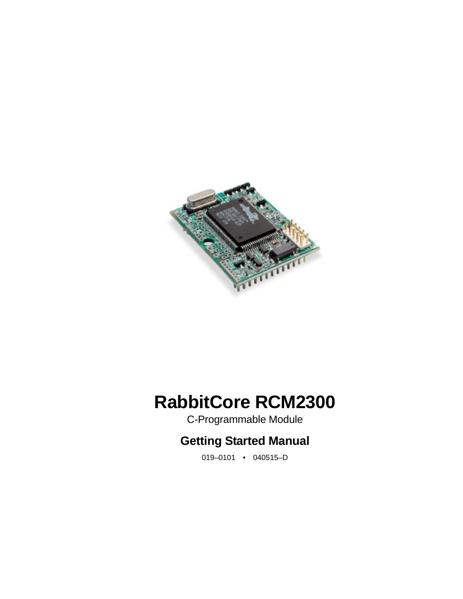

# **RabbitCore RCM2300**

C-Programmable Module

## **Getting Started Manual**

019–0101 • 040515–D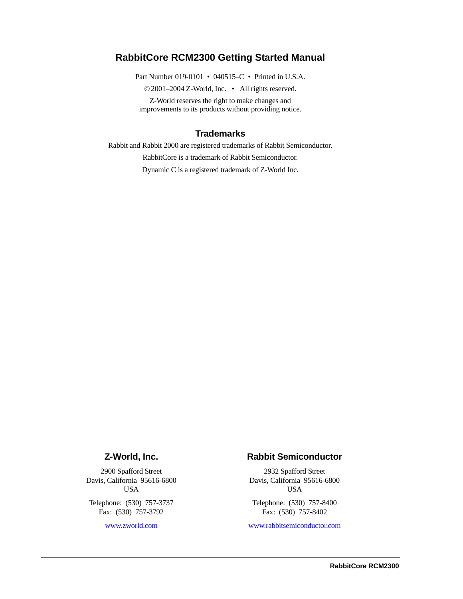#### **RabbitCore RCM2300 Getting Started Manual**

Part Number 019-0101 • 040515–C • Printed in U.S.A.

© 2001–2004 Z-World, Inc. • All rights reserved.

Z-World reserves the right to make changes and improvements to its products without providing notice.

#### **Trademarks**

Rabbit and Rabbit 2000 are registered trademarks of Rabbit Semiconductor.

RabbitCore is a trademark of Rabbit Semiconductor.

Dynamic C is a registered trademark of Z-World Inc.

#### **Z-World, Inc.**

2900 Spafford Street Davis, California 95616-6800 USA

Telephone: (530) 757-3737 Fax: (530) 757-3792

[www.zworld.com](http://www.zworld.com)

#### **Rabbit Semiconductor**

2932 Spafford Street Davis, California 95616-6800 USA

Telephone: (530) 757-8400 Fax: (530) 757-8402

[www.rabbitsemiconductor.com](http://www.rabbitsemiconductor.com)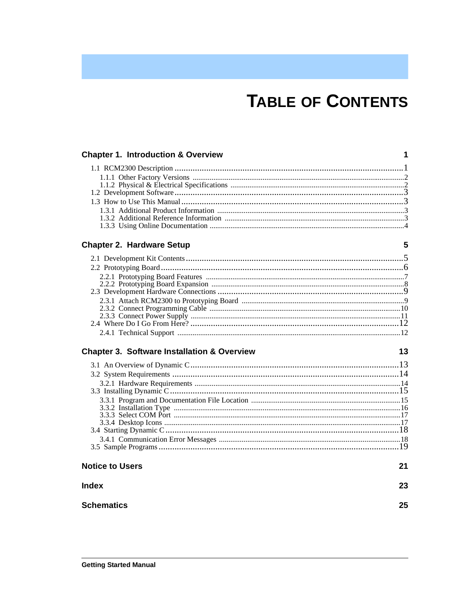# **TABLE OF CONTENTS**

 $13$ 

 $21$ 

| <b>Chapter 1. Introduction &amp; Overview</b> |  |
|-----------------------------------------------|--|
|                                               |  |
|                                               |  |
|                                               |  |
|                                               |  |
|                                               |  |
|                                               |  |
|                                               |  |
|                                               |  |
| <b>Chapter 2. Hardware Setup</b>              |  |

### **Chapter 2. Hardware Setup**

#### **Chapter 3. Software Installation & Overview**

#### **Notice to Users**

| <b>Index</b>      | 23 |
|-------------------|----|
| <b>Schematics</b> | 25 |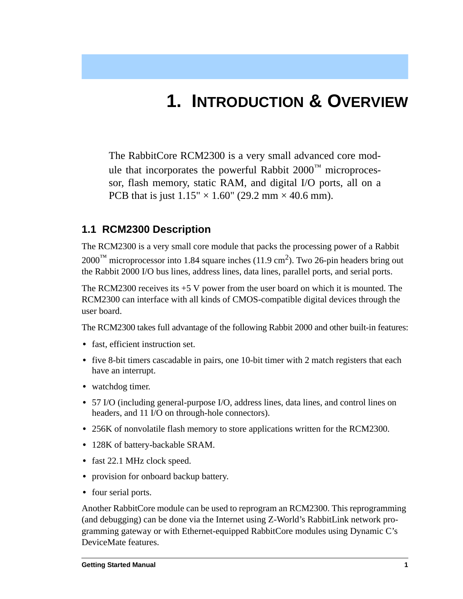# **1. INTRODUCTION & OVERVIEW**

<span id="page-4-0"></span>The RabbitCore RCM2300 is a very small advanced core module that incorporates the powerful Rabbit  $2000^{\mathrm{m}}$  microprocessor, flash memory, static RAM, and digital I/O ports, all on a PCB that is just  $1.15" \times 1.60"$  (29.2 mm  $\times$  40.6 mm).

## <span id="page-4-2"></span><span id="page-4-1"></span>**1.1 RCM2300 Description**

The RCM2300 is a very small core module that packs the processing power of a Rabbit  $2000^{\text{TM}}$  microprocessor into 1.84 square inches (11.9 cm<sup>2</sup>). Two 26-pin headers bring out the Rabbit 2000 I/O bus lines, address lines, data lines, parallel ports, and serial ports.

The RCM2300 receives its  $+5$  V power from the user board on which it is mounted. The RCM2300 can interface with all kinds of CMOS-compatible digital devices through the user board.

The RCM2300 takes full advantage of the following Rabbit 2000 and other built-in features:

- <span id="page-4-3"></span>• fast, efficient instruction set.
- five 8-bit timers cascadable in pairs, one 10-bit timer with 2 match registers that each have an interrupt.
- **•** watchdog timer.
- **•** 57 I/O (including general-purpose I/O, address lines, data lines, and control lines on headers, and 11 I/O on through-hole connectors).
- **•** 256K of nonvolatile flash memory to store applications written for the RCM2300.
- **•** 128K of battery-backable SRAM.
- fast 22.1 MHz clock speed.
- provision for onboard backup battery.
- **•** four serial ports.

Another RabbitCore module can be used to reprogram an RCM2300. This reprogramming (and debugging) can be done via the Internet using Z-World's RabbitLink network programming gateway or with Ethernet-equipped RabbitCore modules using Dynamic C's DeviceMate features.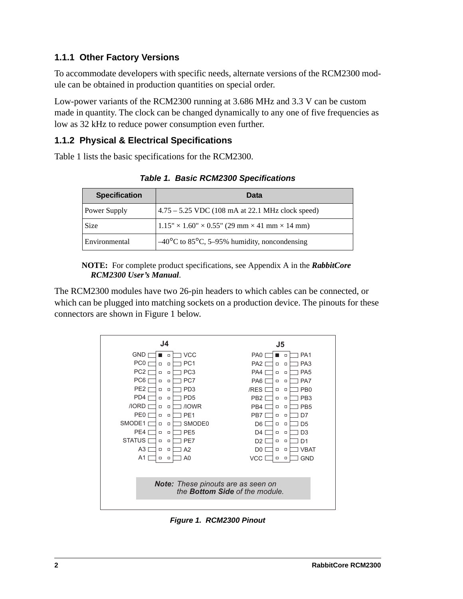## <span id="page-5-5"></span><span id="page-5-0"></span>**1.1.1 Other Factory Versions**

To accommodate developers with specific needs, alternate versions of the RCM2300 module can be obtained in production quantities on special order.

Low-power variants of the RCM2300 running at 3.686 MHz and 3.3 V can be custom made in quantity. The clock can be changed dynamically to any one of five frequencies as low as 32 kHz to reduce power consumption even further.

### <span id="page-5-7"></span><span id="page-5-1"></span>**1.1.2 Physical & Electrical Specifications**

<span id="page-5-2"></span>[Table 1](#page-5-2) lists the basic specifications for the RCM2300.

| <b>Specification</b> | Data                                                                    |
|----------------------|-------------------------------------------------------------------------|
| Power Supply         | $4.75 - 5.25$ VDC (108 mA at 22.1 MHz clock speed)                      |
| Size                 | $1.15" \times 1.60" \times 0.55"$ (29 mm $\times$ 41 mm $\times$ 14 mm) |
| Environmental        | $-40^{\circ}$ C to 85 <sup>°</sup> C, 5–95% humidity, noncondensing     |

*Table 1. Basic RCM2300 Specifications*

**NOTE:** For complete product specifications, see Appendix A in the *RabbitCore RCM2300 User's Manual*.

The RCM2300 modules have two 26-pin headers to which cables can be connected, or which can be plugged into matching sockets on a production device. The pinouts for these connectors are shown in [Figure 1](#page-5-3) below.



<span id="page-5-6"></span><span id="page-5-4"></span><span id="page-5-3"></span>*Figure 1. RCM2300 Pinout*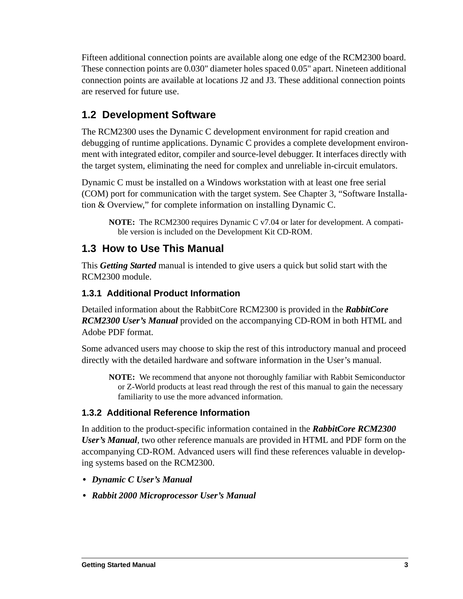Fifteen additional connection points are available along one edge of the RCM2300 board. These connection points are 0.030" diameter holes spaced 0.05" apart. Nineteen additional connection points are available at locations J2 and J3. These additional connection points are reserved for future use.

## <span id="page-6-0"></span>**1.2 Development Software**

<span id="page-6-5"></span>The RCM2300 uses the Dynamic C development environment for rapid creation and debugging of runtime applications. Dynamic C provides a complete development environment with integrated editor, compiler and source-level debugger. It interfaces directly with the target system, eliminating the need for complex and unreliable in-circuit emulators.

Dynamic C must be installed on a Windows workstation with at least one free serial (COM) port for communication with the target system. See [Chapter 3, "Software Installa](#page-16-2)[tion & Overview,"](#page-16-2) for complete information on installing Dynamic C.

**NOTE:** The RCM2300 requires Dynamic C v7.04 or later for development. A compatible version is included on the Development Kit CD-ROM.

## <span id="page-6-1"></span>**1.3 How to Use This Manual**

This *Getting Started* manual is intended to give users a quick but solid start with the RCM2300 module.

## <span id="page-6-2"></span>**1.3.1 Additional Product Information**

Detailed information about the RabbitCore RCM2300 is provided in the *RabbitCore RCM2300 User's Manual* provided on the accompanying CD-ROM in both HTML and Adobe PDF format.

Some advanced users may choose to skip the rest of this introductory manual and proceed directly with the detailed hardware and software information in the User's manual.

**NOTE:** We recommend that anyone not thoroughly familiar with Rabbit Semiconductor or Z-World products at least read through the rest of this manual to gain the necessary familiarity to use the more advanced information.

## <span id="page-6-4"></span><span id="page-6-3"></span>**1.3.2 Additional Reference Information**

In addition to the product-specific information contained in the *RabbitCore RCM2300 User's Manual*, two other reference manuals are provided in HTML and PDF form on the accompanying CD-ROM. Advanced users will find these references valuable in developing systems based on the RCM2300.

- **•** *Dynamic C User's Manual*
- **•** *Rabbit 2000 Microprocessor User's Manual*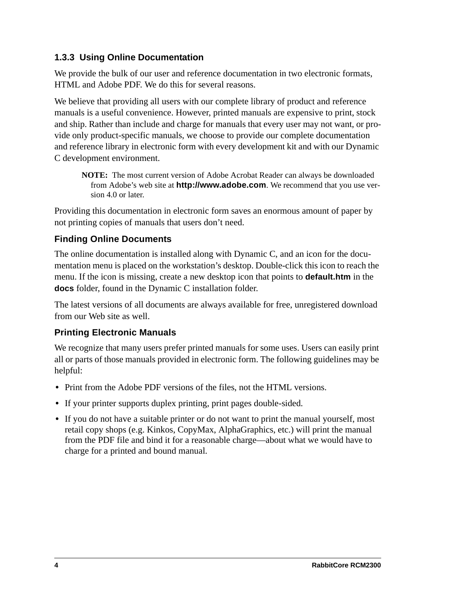### <span id="page-7-1"></span><span id="page-7-0"></span>**1.3.3 Using Online Documentation**

We provide the bulk of our user and reference documentation in two electronic formats, HTML and Adobe PDF. We do this for several reasons.

We believe that providing all users with our complete library of product and reference manuals is a useful convenience. However, printed manuals are expensive to print, stock and ship. Rather than include and charge for manuals that every user may not want, or provide only product-specific manuals, we choose to provide our complete documentation and reference library in electronic form with every development kit and with our Dynamic C development environment.

**NOTE:** The most current version of Adobe Acrobat Reader can always be downloaded from Adobe's web site at **http://www.adobe.com**. We recommend that you use version 4.0 or later.

Providing this documentation in electronic form saves an enormous amount of paper by not printing copies of manuals that users don't need.

## **Finding Online Documents**

The online documentation is installed along with Dynamic C, and an icon for the documentation menu is placed on the workstation's desktop. Double-click this icon to reach the menu. If the icon is missing, create a new desktop icon that points to **default.htm** in the **docs** folder, found in the Dynamic C installation folder.

The latest versions of all documents are always available for free, unregistered download from our Web site as well.

### **Printing Electronic Manuals**

We recognize that many users prefer printed manuals for some uses. Users can easily print all or parts of those manuals provided in electronic form. The following guidelines may be helpful:

- Print from the Adobe PDF versions of the files, not the HTML versions.
- **•** If your printer supports duplex printing, print pages double-sided.
- **•** If you do not have a suitable printer or do not want to print the manual yourself, most retail copy shops (e.g. Kinkos, CopyMax, AlphaGraphics, etc.) will print the manual from the PDF file and bind it for a reasonable charge—about what we would have to charge for a printed and bound manual.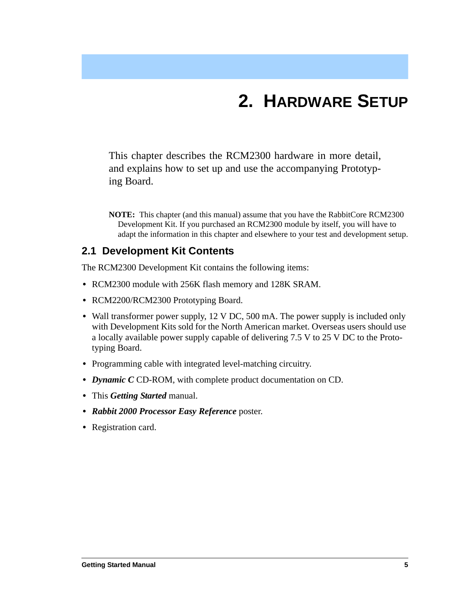# **2. HARDWARE SETUP**

<span id="page-8-0"></span>This chapter describes the RCM2300 hardware in more detail, and explains how to set up and use the accompanying Prototyping Board.

**NOTE:** This chapter (and this manual) assume that you have the RabbitCore RCM2300 Development Kit. If you purchased an RCM2300 module by itself, you will have to adapt the information in this chapter and elsewhere to your test and development setup.

## <span id="page-8-2"></span><span id="page-8-1"></span>**2.1 Development Kit Contents**

The RCM2300 Development Kit contains the following items:

- **•** RCM2300 module with 256K flash memory and 128K SRAM.
- **•** RCM2200/RCM2300 Prototyping Board.
- Wall transformer power supply, 12 V DC, 500 mA. The power supply is included only with Development Kits sold for the North American market. Overseas users should use a locally available power supply capable of delivering 7.5 V to 25 V DC to the Prototyping Board.
- **•** Programming cable with integrated level-matching circuitry.
- **•** *Dynamic C* CD-ROM, with complete product documentation on CD.
- **•** This *Getting Started* manual.
- **•** *Rabbit 2000 Processor Easy Reference* poster.
- **•** Registration card.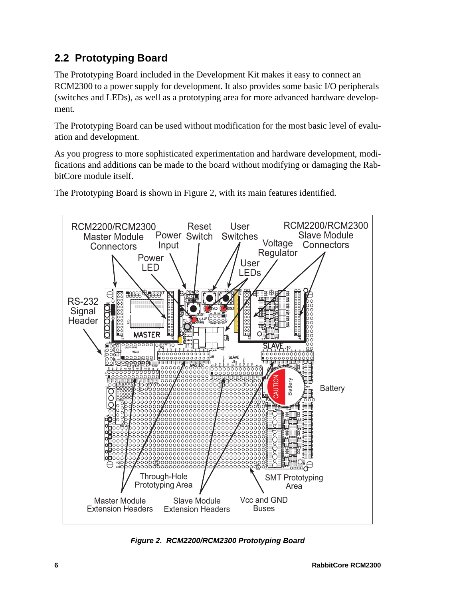## <span id="page-9-3"></span><span id="page-9-0"></span>**2.2 Prototyping Board**

The Prototyping Board included in the Development Kit makes it easy to connect an RCM2300 to a power supply for development. It also provides some basic I/O peripherals (switches and LEDs), as well as a prototyping area for more advanced hardware development.

The Prototyping Board can be used without modification for the most basic level of evaluation and development.

As you progress to more sophisticated experimentation and hardware development, modifications and additions can be made to the board without modifying or damaging the RabbitCore module itself.

The Prototyping Board is shown in [Figure](#page-9-1) 2, with its main features identified.



<span id="page-9-2"></span><span id="page-9-1"></span>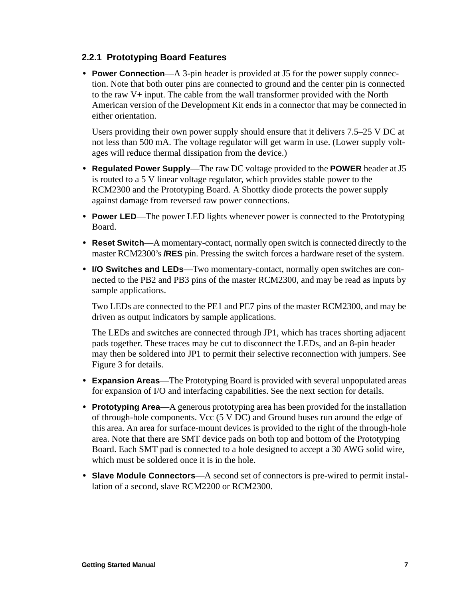### <span id="page-10-1"></span><span id="page-10-0"></span>**2.2.1 Prototyping Board Features**

**• Power Connection**—A 3-pin header is provided at J5 for the power supply connection. Note that both outer pins are connected to ground and the center pin is connected to the raw V+ input. The cable from the wall transformer provided with the North American version of the Development Kit ends in a connector that may be connected in either orientation.

Users providing their own power supply should ensure that it delivers 7.5–25 V DC at not less than 500 mA. The voltage regulator will get warm in use. (Lower supply voltages will reduce thermal dissipation from the device.)

- **• Regulated Power Supply**—The raw DC voltage provided to the **POWER** header at J5 is routed to a 5 V linear voltage regulator, which provides stable power to the RCM2300 and the Prototyping Board. A Shottky diode protects the power supply against damage from reversed raw power connections.
- **• Power LED**—The power LED lights whenever power is connected to the Prototyping Board.
- **• Reset Switch**—A momentary-contact, normally open switch is connected directly to the master RCM2300's **/RES** pin. Pressing the switch forces a hardware reset of the system.
- **• I/O Switches and LEDs**—Two momentary-contact, normally open switches are connected to the PB2 and PB3 pins of the master RCM2300, and may be read as inputs by sample applications.

Two LEDs are connected to the PE1 and PE7 pins of the master RCM2300, and may be driven as output indicators by sample applications.

The LEDs and switches are connected through JP1, which has traces shorting adjacent pads together. These traces may be cut to disconnect the LEDs, and an 8-pin header may then be soldered into JP1 to permit their selective reconnection with jumpers. See [Figure 3](#page-11-1) for details.

- **• Expansion Areas**—The Prototyping Board is provided with several unpopulated areas for expansion of I/O and interfacing capabilities. See the next section for details.
- **• Prototyping Area**—A generous prototyping area has been provided for the installation of through-hole components. Vcc (5 V DC) and Ground buses run around the edge of this area. An area for surface-mount devices is provided to the right of the through-hole area. Note that there are SMT device pads on both top and bottom of the Prototyping Board. Each SMT pad is connected to a hole designed to accept a 30 AWG solid wire, which must be soldered once it is in the hole.
- **• Slave Module Connectors**—A second set of connectors is pre-wired to permit installation of a second, slave RCM2200 or RCM2300.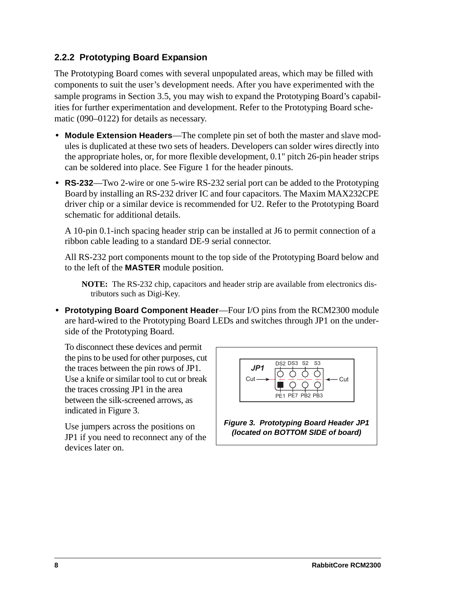### <span id="page-11-3"></span><span id="page-11-0"></span>**2.2.2 Prototyping Board Expansion**

The Prototyping Board comes with several unpopulated areas, which may be filled with components to suit the user's development needs. After you have experimented with the sample programs in [Section 3.5](#page-22-1), you may wish to expand the Prototyping Board's capabilities for further experimentation and development. Refer to the Prototyping Board schematic (090–0122) for details as necessary.

- **• Module Extension Headers**—The complete pin set of both the master and slave modules is duplicated at these two sets of headers. Developers can solder wires directly into the appropriate holes, or, for more flexible development, 0.1" pitch 26-pin header strips can be soldered into place. See [Figure 1](#page-5-4) for the header pinouts.
- **• RS-232**—Two 2-wire or one 5-wire RS-232 serial port can be added to the Prototyping Board by installing an RS-232 driver IC and four capacitors. The Maxim MAX232CPE driver chip or a similar device is recommended for U2. Refer to the Prototyping Board schematic for additional details.

A 10-pin 0.1-inch spacing header strip can be installed at J6 to permit connection of a ribbon cable leading to a standard DE-9 serial connector.

All RS-232 port components mount to the top side of the Prototyping Board below and to the left of the **MASTER** module position.

**NOTE:** The RS-232 chip, capacitors and header strip are available from electronics distributors such as Digi-Key.

**• Prototyping Board Component Header**—Four I/O pins from the RCM2300 module are hard-wired to the Prototyping Board LEDs and switches through JP1 on the underside of the Prototyping Board.

To disconnect these devices and permit the pins to be used for other purposes, cut the traces between the pin rows of JP1. Use a knife or similar tool to cut or break the traces crossing JP1 in the area between the silk-screened arrows, as indicated in [Figure 3.](#page-11-1)

Use jumpers across the positions on JP1 if you need to reconnect any of the devices later on.

<span id="page-11-2"></span><span id="page-11-1"></span>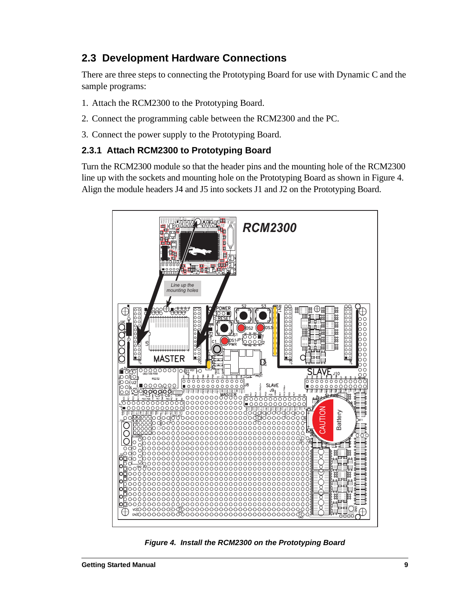## <span id="page-12-3"></span><span id="page-12-0"></span>**2.3 Development Hardware Connections**

There are three steps to connecting the Prototyping Board for use with Dynamic C and the sample programs:

- 1. Attach the RCM2300 to the Prototyping Board.
- 2. Connect the programming cable between the RCM2300 and the PC.
- <span id="page-12-5"></span>3. Connect the power supply to the Prototyping Board.

## <span id="page-12-1"></span>**2.3.1 Attach RCM2300 to Prototyping Board**

Turn the RCM2300 module so that the header pins and the mounting hole of the RCM2300 line up with the sockets and mounting hole on the Prototyping Board as shown in [Figure 4](#page-12-2). Align the module headers J4 and J5 into sockets J1 and J2 on the Prototyping Board.

<span id="page-12-4"></span><span id="page-12-2"></span>

*Figure 4. Install the RCM2300 on the Prototyping Board*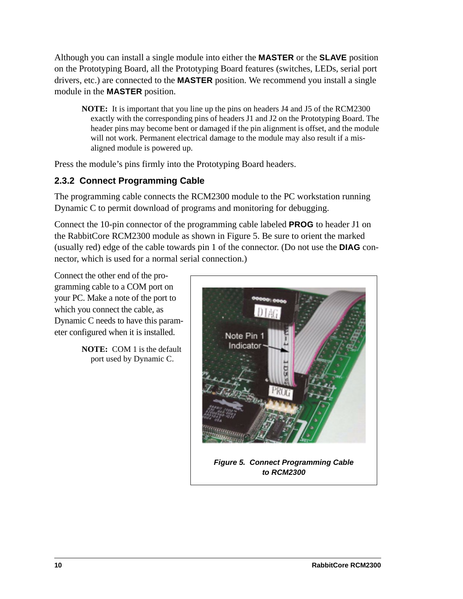Although you can install a single module into either the **MASTER** or the **SLAVE** position on the Prototyping Board, all the Prototyping Board features (switches, LEDs, serial port drivers, etc.) are connected to the **MASTER** position. We recommend you install a single module in the **MASTER** position.

**NOTE:** It is important that you line up the pins on headers J4 and J5 of the RCM2300 exactly with the corresponding pins of headers J1 and J2 on the Prototyping Board. The header pins may become bent or damaged if the pin alignment is offset, and the module will not work. Permanent electrical damage to the module may also result if a misaligned module is powered up.

Press the module's pins firmly into the Prototyping Board headers.

## <span id="page-13-2"></span><span id="page-13-0"></span>**2.3.2 Connect Programming Cable**

The programming cable connects the RCM2300 module to the PC workstation running Dynamic C to permit download of programs and monitoring for debugging.

Connect the 10-pin connector of the programming cable labeled **PROG** to header J1 on the RabbitCore RCM2300 module as shown in [Figure 5.](#page-13-1) Be sure to orient the marked (usually red) edge of the cable towards pin 1 of the connector. (Do not use the **DIAG** connector, which is used for a normal serial connection.)

Connect the other end of the programming cable to a COM port on your PC. Make a note of the port to which you connect the cable, as Dynamic C needs to have this parameter configured when it is installed.

> <span id="page-13-1"></span>**NOTE:** COM 1 is the default port used by Dynamic C.

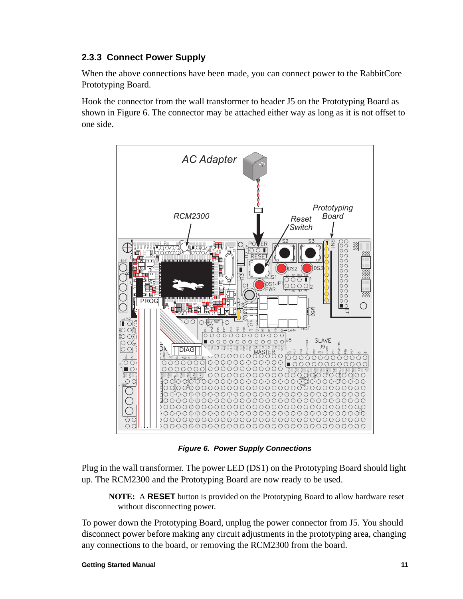## <span id="page-14-4"></span><span id="page-14-2"></span><span id="page-14-0"></span>**2.3.3 Connect Power Supply**

When the above connections have been made, you can connect power to the RabbitCore Prototyping Board.

Hook the connector from the wall transformer to header J5 on the Prototyping Board as shown in [Figure 6.](#page-14-1) The connector may be attached either way as long as it is not offset to one side.



*Figure 6. Power Supply Connections*

<span id="page-14-1"></span>Plug in the wall transformer. The power LED (DS1) on the Prototyping Board should light up. The RCM2300 and the Prototyping Board are now ready to be used.

<span id="page-14-3"></span>**NOTE:** A **RESET** button is provided on the Prototyping Board to allow hardware reset without disconnecting power.

To power down the Prototyping Board, unplug the power connector from J5. You should disconnect power before making any circuit adjustments in the prototyping area, changing any connections to the board, or removing the RCM2300 from the board.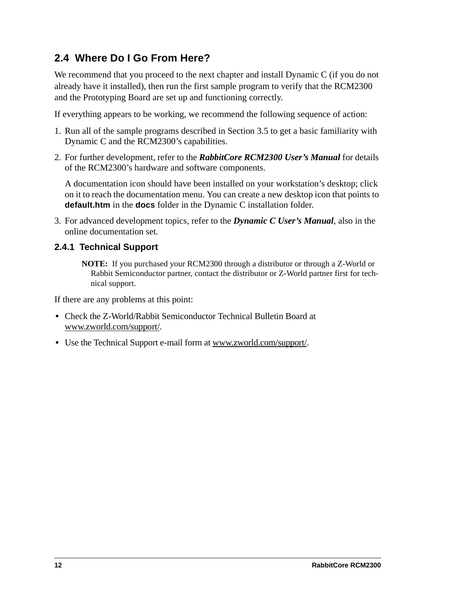## <span id="page-15-0"></span>**2.4 Where Do I Go From Here?**

We recommend that you proceed to the next chapter and install Dynamic C (if you do not already have it installed), then run the first sample program to verify that the RCM2300 and the Prototyping Board are set up and functioning correctly.

If everything appears to be working, we recommend the following sequence of action:

- 1. Run all of the sample programs described in [Section 3.5](#page-22-1) to get a basic familiarity with Dynamic C and the RCM2300's capabilities.
- 2. For further development, refer to the *RabbitCore RCM2300 User's Manual* for details of the RCM2300's hardware and software components.

A documentation icon should have been installed on your workstation's desktop; click on it to reach the documentation menu. You can create a new desktop icon that points to **default.htm** in the **docs** folder in the Dynamic C installation folder.

3. For advanced development topics, refer to the *Dynamic C User's Manual*, also in the online documentation set.

## <span id="page-15-1"></span>**2.4.1 Technical Support**

<span id="page-15-2"></span>**NOTE:** If you purchased your RCM2300 through a distributor or through a Z-World or Rabbit Semiconductor partner, contact the distributor or Z-World partner first for technical support.

If there are any problems at this point:

- **•** Check the Z-World/Rabbit Semiconductor Technical Bulletin Board at [www.zworld.com/support/](http://www.zworld.com/support/bb/).
- **•** Use the Technical Support e-mail form at [www.zworld.com/support/.](http://www.zworld.com/support/questionSubmit.shtml)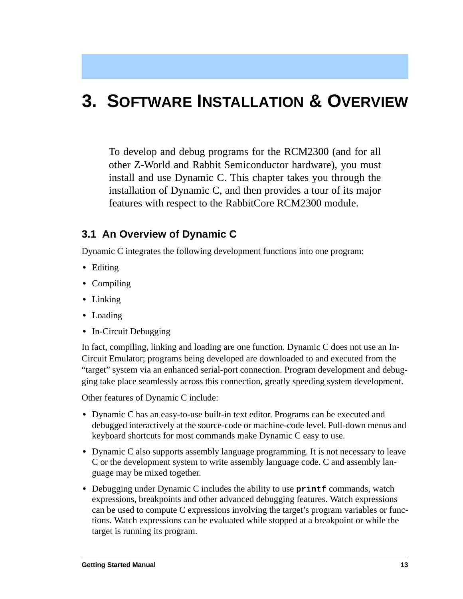# <span id="page-16-2"></span><span id="page-16-0"></span>**3. SOFTWARE INSTALLATION & OVERVIEW**

To develop and debug programs for the RCM2300 (and for all other Z-World and Rabbit Semiconductor hardware), you must install and use Dynamic C. This chapter takes you through the installation of Dynamic C, and then provides a tour of its major features with respect to the RabbitCore RCM2300 module.

## <span id="page-16-8"></span><span id="page-16-1"></span>**3.1 An Overview of Dynamic C**

<span id="page-16-3"></span>Dynamic C integrates the following development functions into one program:

- **•** Editing
- **•** Compiling
- **•** Linking
- **•** Loading
- In-Circuit Debugging

In fact, compiling, linking and loading are one function. Dynamic C does not use an In-Circuit Emulator; programs being developed are downloaded to and executed from the "target" system via an enhanced serial-port connection. Program development and debugging take place seamlessly across this connection, greatly speeding system development.

Other features of Dynamic C include:

- <span id="page-16-7"></span><span id="page-16-6"></span>**•** Dynamic C has an easy-to-use built-in text editor. Programs can be executed and debugged interactively at the source-code or machine-code level. Pull-down menus and keyboard shortcuts for most commands make Dynamic C easy to use.
- <span id="page-16-4"></span>• Dynamic C also supports assembly language programming. It is not necessary to leave C or the development system to write assembly language code. C and assembly language may be mixed together.
- <span id="page-16-5"></span>• Debugging under Dynamic C includes the ability to use **printf** commands, watch expressions, breakpoints and other advanced debugging features. Watch expressions can be used to compute C expressions involving the target's program variables or functions. Watch expressions can be evaluated while stopped at a breakpoint or while the target is running its program.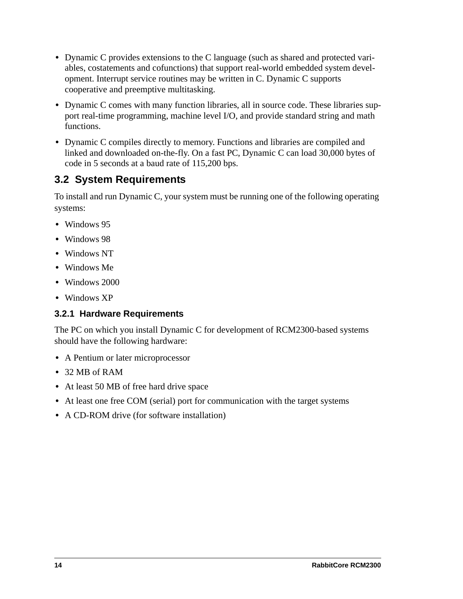- <span id="page-17-4"></span><span id="page-17-2"></span>**•** Dynamic C provides extensions to the C language (such as shared and protected variables, costatements and cofunctions) that support real-world embedded system development. Interrupt service routines may be written in C. Dynamic C supports cooperative and preemptive multitasking.
- **•** Dynamic C comes with many function libraries, all in source code. These libraries support real-time programming, machine level I/O, and provide standard string and math functions.
- **•** Dynamic C compiles directly to memory. Functions and libraries are compiled and linked and downloaded on-the-fly. On a fast PC, Dynamic C can load 30,000 bytes of code in 5 seconds at a baud rate of 115,200 bps.

## <span id="page-17-0"></span>**3.2 System Requirements**

To install and run Dynamic C, your system must be running one of the following operating systems:

- **•** Windows 95
- **•** Windows 98
- **•** Windows NT
- **•** Windows Me
- **•** Windows 2000
- **•** Windows XP

## <span id="page-17-3"></span><span id="page-17-1"></span>**3.2.1 Hardware Requirements**

The PC on which you install Dynamic C for development of RCM2300-based systems should have the following hardware:

- **•** A Pentium or later microprocessor
- **•** 32 MB of RAM
- At least 50 MB of free hard drive space
- At least one free COM (serial) port for communication with the target systems
- A CD-ROM drive (for software installation)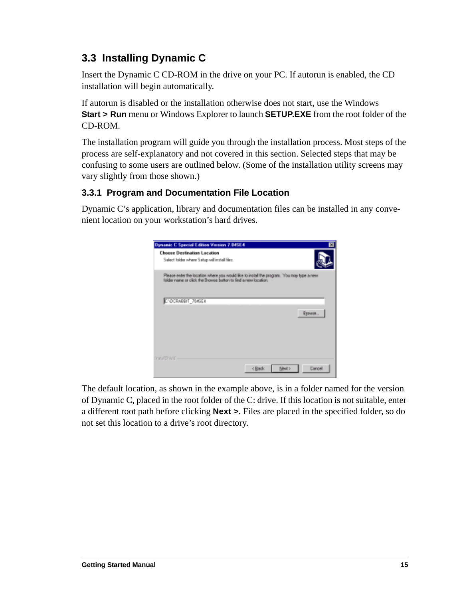## <span id="page-18-2"></span><span id="page-18-0"></span>**3.3 Installing Dynamic C**

Insert the Dynamic C CD-ROM in the drive on your PC. If autorun is enabled, the CD installation will begin automatically.

If autorun is disabled or the installation otherwise does not start, use the Windows **Start > Run** menu or Windows Explorer to launch **SETUP.EXE** from the root folder of the CD-ROM.

The installation program will guide you through the installation process. Most steps of the process are self-explanatory and not covered in this section. Selected steps that may be confusing to some users are outlined below. (Some of the installation utility screens may vary slightly from those shown.)

## <span id="page-18-1"></span>**3.3.1 Program and Documentation File Location**

Dynamic C's application, library and documentation files can be installed in any convenient location on your workstation's hard drives.

| Dynamic C Special Edition Version 7.045E4                                                                                                                    |                                         |
|--------------------------------------------------------------------------------------------------------------------------------------------------------------|-----------------------------------------|
| <b>Choose Destination Location</b><br>Select folder where Setup will install files.                                                                          |                                         |
| Please enter the location where you would like to install the program. You may type a new<br>folder name or click. the Browse button to find a new location. |                                         |
| C/DCRABBIT_704SE4                                                                                                                                            |                                         |
|                                                                                                                                                              | Bjowse                                  |
| <b>InstallStrivel</b>                                                                                                                                        | Dancell<br><back<br>Next &gt;</back<br> |

The default location, as shown in the example above, is in a folder named for the version of Dynamic C, placed in the root folder of the C: drive. If this location is not suitable, enter a different root path before clicking **Next >**. Files are placed in the specified folder, so do not set this location to a drive's root directory.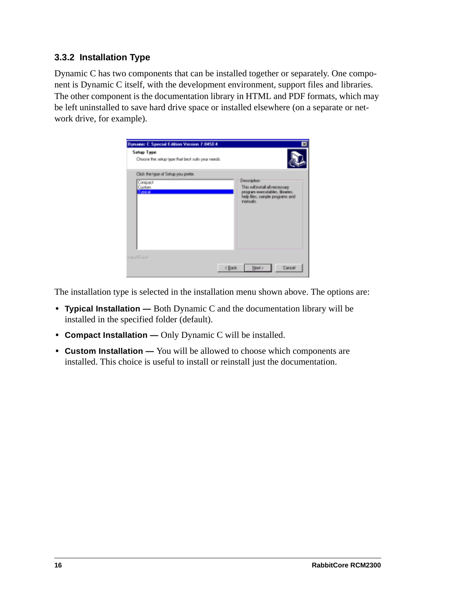## <span id="page-19-0"></span>**3.3.2 Installation Type**

Dynamic C has two components that can be installed together or separately. One component is Dynamic C itself, with the development environment, support files and libraries. The other component is the documentation library in HTML and PDF formats, which may be left uninstalled to save hard drive space or installed elsewhere (on a separate or network drive, for example).



The installation type is selected in the installation menu shown above. The options are:

- **• Typical Installation** Both Dynamic C and the documentation library will be installed in the specified folder (default).
- **Compact Installation** Only Dynamic C will be installed.
- **• Custom Installation** You will be allowed to choose which components are installed. This choice is useful to install or reinstall just the documentation.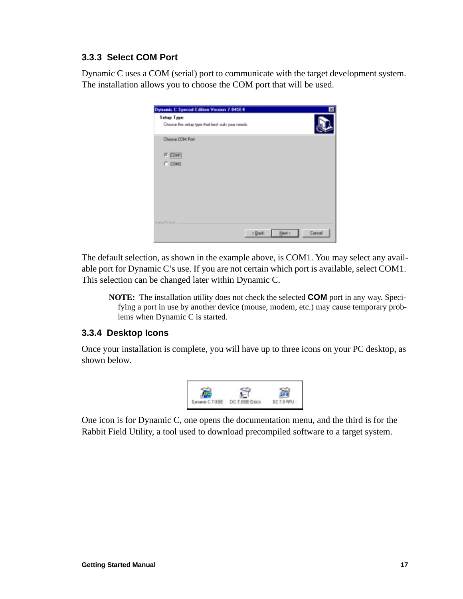## <span id="page-20-3"></span><span id="page-20-0"></span>**3.3.3 Select COM Port**

Dynamic C uses a COM (serial) port to communicate with the target development system. The installation allows you to choose the COM port that will be used.

| Dynamic C Special Edition Version 7.045E4                       |                                                        |        | ×      |
|-----------------------------------------------------------------|--------------------------------------------------------|--------|--------|
| Sebup Type<br>Choose the setup type that best suits your needs. |                                                        |        |        |
| Choose COM Port                                                 |                                                        |        |        |
| <sup>(2</sup> 00M)                                              |                                                        |        |        |
| C DOM2                                                          |                                                        |        |        |
|                                                                 |                                                        |        |        |
|                                                                 |                                                        |        |        |
|                                                                 |                                                        |        |        |
| <b>InstallStrick</b>                                            |                                                        |        |        |
|                                                                 | <back< td=""><td>Next &gt;</td><td>Dancel</td></back<> | Next > | Dancel |

The default selection, as shown in the example above, is COM1. You may select any available port for Dynamic C's use. If you are not certain which port is available, select COM1. This selection can be changed later within Dynamic C.

**NOTE:** The installation utility does not check the selected **COM** port in any way. Specifying a port in use by another device (mouse, modem, etc.) may cause temporary problems when Dynamic C is started.

#### <span id="page-20-2"></span><span id="page-20-1"></span>**3.3.4 Desktop Icons**

Once your installation is complete, you will have up to three icons on your PC desktop, as shown below.



One icon is for Dynamic C, one opens the documentation menu, and the third is for the Rabbit Field Utility, a tool used to download precompiled software to a target system.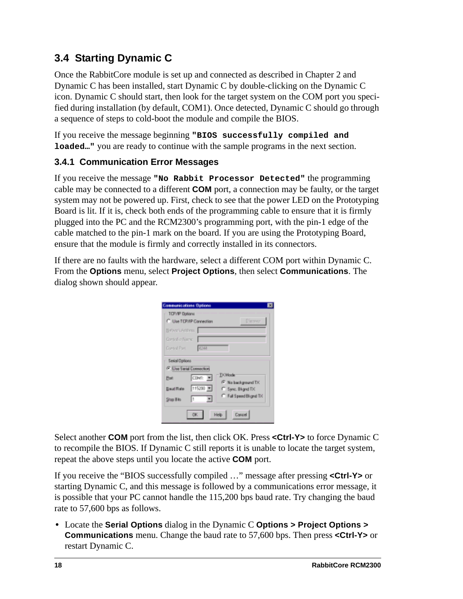## <span id="page-21-3"></span><span id="page-21-0"></span>**3.4 Starting Dynamic C**

Once the RabbitCore module is set up and connected as described in Chapter 2 and Dynamic C has been installed, start Dynamic C by double-clicking on the Dynamic C icon. Dynamic C should start, then look for the target system on the COM port you specified during installation (by default, COM1). Once detected, Dynamic C should go through a sequence of steps to cold-boot the module and compile the BIOS.

If you receive the message beginning **"BIOS successfully compiled and loaded…"** you are ready to continue with the sample programs in the next section.

### <span id="page-21-2"></span><span id="page-21-1"></span>**3.4.1 Communication Error Messages**

If you receive the message **"No Rabbit Processor Detected"** the programming cable may be connected to a different **COM** port, a connection may be faulty, or the target system may not be powered up. First, check to see that the power LED on the Prototyping Board is lit. If it is, check both ends of the programming cable to ensure that it is firmly plugged into the PC and the RCM2300's programming port, with the pin-1 edge of the cable matched to the pin-1 mark on the board. If you are using the Prototyping Board, ensure that the module is firmly and correctly installed in its connectors.

If there are no faults with the hardware, select a different COM port within Dynamic C. From the **Options** menu, select **Project Options**, then select **Communications**. The dialog shown should appear.

| <b>Communications Options</b>                                                          |                           | ×                                                                                   |
|----------------------------------------------------------------------------------------|---------------------------|-------------------------------------------------------------------------------------|
| <b>TOP/IP Dations</b>                                                                  | C Lise TCP/IP Cannection  | <b>D'enver</b>                                                                      |
| Newsweaters                                                                            |                           |                                                                                     |
| Control of Native                                                                      |                           |                                                                                     |
| <b>Coro of Part</b>                                                                    | 4344                      |                                                                                     |
| Sealal Options<br><sup>C</sup> Use Serial Connection<br>Port<br>Baud Rake<br>Stop Bits | CDMT: F<br>115200 ₩<br>l١ | <b>TX Mode</b><br>F No background TX<br>C Sanc, Blughd TX<br>F Full Speed Blognd TX |
|                                                                                        | OK.                       | Cancel                                                                              |

Select another **COM** port from the list, then click OK. Press **<Ctrl-Y>** to force Dynamic C to recompile the BIOS. If Dynamic C still reports it is unable to locate the target system, repeat the above steps until you locate the active **COM** port.

If you receive the "BIOS successfully compiled …" message after pressing **<Ctrl-Y>** or starting Dynamic C, and this message is followed by a communications error message, it is possible that your PC cannot handle the 115,200 bps baud rate. Try changing the baud rate to 57,600 bps as follows.

**•** Locate the **Serial Options** dialog in the Dynamic C **Options > Project Options > Communications** menu. Change the baud rate to 57,600 bps. Then press **<Ctrl-Y>** or restart Dynamic C.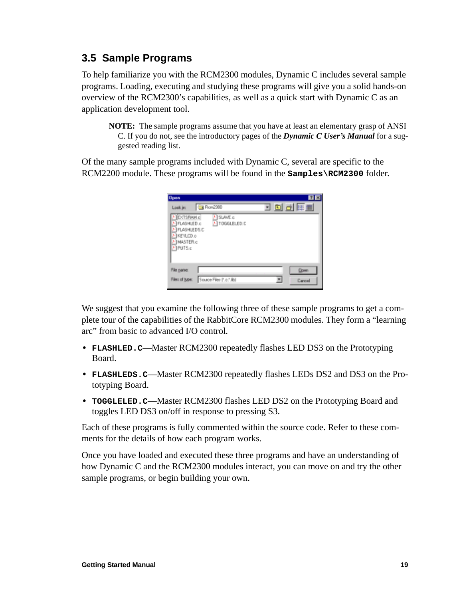## <span id="page-22-1"></span><span id="page-22-0"></span>**3.5 Sample Programs**

To help familiarize you with the RCM2300 modules, Dynamic C includes several sample programs. Loading, executing and studying these programs will give you a solid hands-on overview of the RCM2300's capabilities, as well as a quick start with Dynamic C as an application development tool.

**NOTE:** The sample programs assume that you have at least an elementary grasp of ANSI C. If you do not, see the introductory pages of the *Dynamic C User's Manual* for a suggested reading list.

Of the many sample programs included with Dynamic C, several are specific to the RCM2200 module. These programs will be found in the **Samples\RCM2300** folder.

| <b>Dpen</b><br>Car Ron2300<br>Look in:                                                                                 | <b>7 X</b><br>300 F T |
|------------------------------------------------------------------------------------------------------------------------|-----------------------|
| EXTSRAM c<br><b>HSLAVE c</b><br>A TOGGLELED.C<br>FLASHLED.c<br><b>FLASHLEDS.C</b><br>IKEYLOD.o<br>IMASTER.e<br>HPUTS.c |                       |
| File name:<br>Source Files (1.c.1.lb)<br>Files of type:                                                                | Down<br>Cancel        |

We suggest that you examine the following three of these sample programs to get a complete tour of the capabilities of the RabbitCore RCM2300 modules. They form a "learning arc" from basic to advanced I/O control.

- <span id="page-22-2"></span>**• FLASHLED.C**—Master RCM2300 repeatedly flashes LED DS3 on the Prototyping Board.
- <span id="page-22-3"></span>**• FLASHLEDS.C**—Master RCM2300 repeatedly flashes LEDs DS2 and DS3 on the Prototyping Board.
- <span id="page-22-4"></span>**• TOGGLELED.C**—Master RCM2300 flashes LED DS2 on the Prototyping Board and toggles LED DS3 on/off in response to pressing S3.

Each of these programs is fully commented within the source code. Refer to these comments for the details of how each program works.

Once you have loaded and executed these three programs and have an understanding of how Dynamic C and the RCM2300 modules interact, you can move on and try the other sample programs, or begin building your own.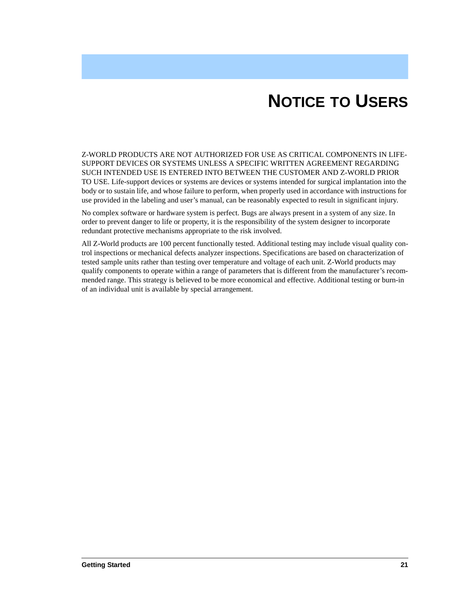# **NOTICE TO USERS**

<span id="page-24-0"></span>Z-WORLD PRODUCTS ARE NOT AUTHORIZED FOR USE AS CRITICAL COMPONENTS IN LIFE-SUPPORT DEVICES OR SYSTEMS UNLESS A SPECIFIC WRITTEN AGREEMENT REGARDING SUCH INTENDED USE IS ENTERED INTO BETWEEN THE CUSTOMER AND Z-WORLD PRIOR TO USE. Life-support devices or systems are devices or systems intended for surgical implantation into the body or to sustain life, and whose failure to perform, when properly used in accordance with instructions for use provided in the labeling and user's manual, can be reasonably expected to result in significant injury.

No complex software or hardware system is perfect. Bugs are always present in a system of any size. In order to prevent danger to life or property, it is the responsibility of the system designer to incorporate redundant protective mechanisms appropriate to the risk involved.

All Z-World products are 100 percent functionally tested. Additional testing may include visual quality control inspections or mechanical defects analyzer inspections. Specifications are based on characterization of tested sample units rather than testing over temperature and voltage of each unit. Z-World products may qualify components to operate within a range of parameters that is different from the manufacturer's recommended range. This strategy is believed to be more economical and effective. Additional testing or burn-in of an individual unit is available by special arrangement.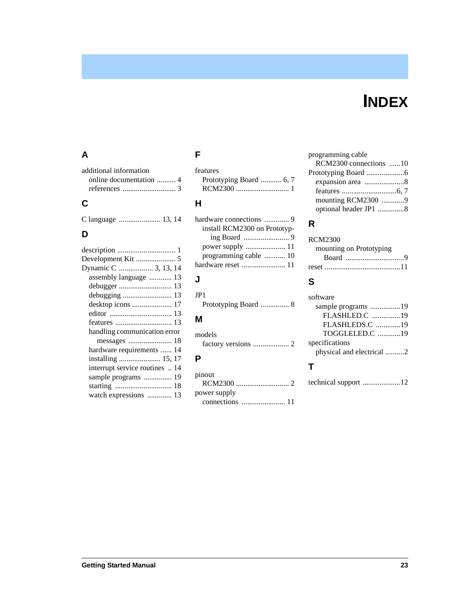# **INDEX**

### <span id="page-26-0"></span>**A**

| additional information |
|------------------------|
|                        |
|                        |

## **C**

|  | C language  13, 14 |  |  |
|--|--------------------|--|--|
|--|--------------------|--|--|

## **D**

| Dynamic C  3, 13, 14           |
|--------------------------------|
| assembly language  13          |
|                                |
|                                |
| desktop icons  17              |
|                                |
|                                |
| handling communication error   |
|                                |
| hardware requirements  14      |
| installing  15, 17             |
| interrupt service routines  14 |
| sample programs  19            |
|                                |
| watch expressions  13          |
|                                |

#### **F**

| <b>features</b>         |  |
|-------------------------|--|
| Prototyping Board  6, 7 |  |
|                         |  |
|                         |  |

## **H**

| hardware connections  9      |  |
|------------------------------|--|
| install RCM2300 on Prototyp- |  |
|                              |  |
|                              |  |
| programming cable  10        |  |
|                              |  |
|                              |  |

## **J**

JP1 [Prototyping Board ............... 8](#page-11-2)

## **M**

| models |  |
|--------|--|
|        |  |

## **P**

| pinout       |  |
|--------------|--|
|              |  |
| power supply |  |
|              |  |

programming cable [RCM2300 connections ......10](#page-13-2) [Prototyping Board ....................6](#page-9-3) [expansion area .....................8](#page-11-3) [features .............................6,](#page-9-2) [7](#page-10-1) [mounting RCM2300 ............9](#page-12-5) [optional header JP1 ..............8](#page-11-2)

## **R**

| RCM2300                 |  |
|-------------------------|--|
| mounting on Prototyping |  |
|                         |  |
|                         |  |
|                         |  |

## **S**

| software                  |  |
|---------------------------|--|
|                           |  |
| FLASHLED.C 19             |  |
| FLASHLEDS.C 19            |  |
| TOGGLELED.C 19            |  |
| specifications            |  |
| physical and electrical 2 |  |
|                           |  |
|                           |  |

## **T**

[technical support ....................12](#page-15-2)